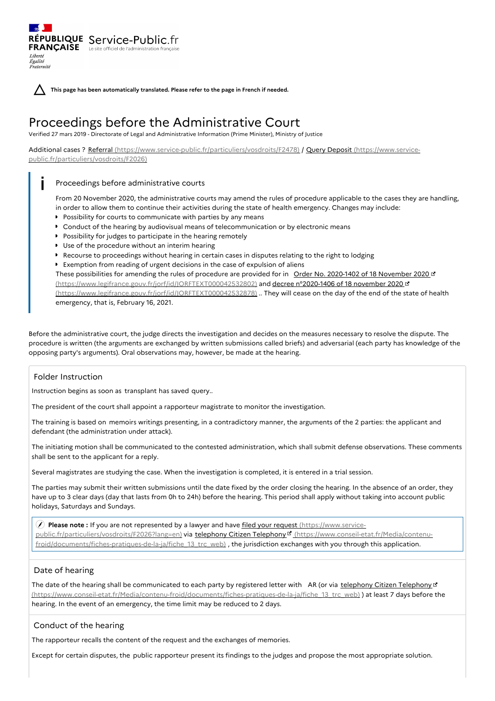RÉPUBLIQUE Service-Public.fr **FRANÇAISE** Le site officiel de l'administration fran Liberté Égalité Fraternité

**This page has been automatically translated. Please refer to the page in French if needed.**

# Proceedings before the Administrative Court

Verified 27 mars 2019 - Directorate of Legal and Administrative Information (Prime Minister), Ministry of Justice

Additional cases ? Referral [\(https://www.service-public.fr/particuliers/vosdroits/F2478\)](https://www.service-public.fr/particuliers/vosdroits/F2026) / Query Deposit (https://www.servicepublic.fr/particuliers/vosdroits/F2026)

#### Proceedings before administrative courts  $\mathbf{i}$   $\mathbf{r}$

From 20 November 2020, the administrative courts may amend the rules of procedure applicable to the cases they are handling, in order to allow them to continue their activities during the state of health emergency. Changes may include:

- **P** Possibility for courts to communicate with parties by any means
- Conduct of the hearing by audiovisual means of telecommunication or by electronic means
- **Possibility for judges to participate in the hearing remotely**
- Use of the procedure without an interim hearing
- Recourse to proceedings without hearing in certain cases in disputes relating to the right to lodging
- Exemption from reading of urgent decisions in the case of expulsion of aliens

These possibilities for amending the rules of procedure are provided for in Order No. 2020-1402 of 18 November 2020 of [\(https://www.legifrance.gouv.fr/jorf/id/JORFTEXT000042532802\)](https://www.legifrance.gouv.fr/jorf/id/JORFTEXT000042532878) and decree n°2020-1406 of 18 november 2020 (https://www.legifrance.gouv.fr/jorf/id/JORFTEXT000042532878) .. They will cease on the day of the end of the state of health emergency, that is, February 16, 2021.

Before the administrative court, the judge directs the investigation and decides on the measures necessary to resolve the dispute. The procedure is written (the arguments are exchanged by written submissions called briefs) and adversarial (each party has knowledge of the opposing party's arguments). Oral observations may, however, be made at the hearing.

## Folder Instruction

Instruction begins as soon as transplant has saved query..

The president of the court shall appoint a rapporteur magistrate to monitor the investigation.

The training is based on memoirs writings presenting, in a contradictory manner, the arguments of the 2 parties: the applicant and defendant (the administration under attack).

The initiating motion shall be communicated to the contested administration, which shall submit defense observations. These comments shall be sent to the applicant for a reply.

Several magistrates are studying the case. When the investigation is completed, it is entered in a trial session.

The parties may submit their written submissions until the date fixed by the order closing the hearing. In the absence of an order, they have up to 3 clear days (day that lasts from 0h to 24h) before the hearing. This period shall apply without taking into account public holidays, Saturdays and Sundays.

 **Please note :** If you are not represented by a lawyer and have filed your request (https://www.service[public.fr/particuliers/vosdroits/F2026?lang=en\)](https://www.service-public.fr/particuliers/vosdroits/F2026?lang=en) via telephony Citizen Telephony (https://www.conseil-etat.fr/Media/contenu[froid/documents/fiches-pratiques-de-la-ja/fiche\\_13\\_trc\\_web\)](https://www.conseil-etat.fr/Media/contenu-froid/documents/fiches-pratiques-de-la-ja/fiche_13_trc_web) , the jurisdiction exchanges with you through this application.

## Date of hearing

The date of the hearing shall be communicated to each party by registered letter with AR (or via telephony Citizen Telephony C' [\(https://www.conseil-etat.fr/Media/contenu-froid/documents/fiches-pratiques-de-la-ja/fiche\\_13\\_trc\\_web\)](https://www.conseil-etat.fr/Media/contenu-froid/documents/fiches-pratiques-de-la-ja/fiche_13_trc_web) ) at least 7 days before the hearing. In the event of an emergency, the time limit may be reduced to 2 days.

## Conduct of the hearing

The rapporteur recalls the content of the request and the exchanges of memories.

Except for certain disputes, the public rapporteur present its findings to the judges and propose the most appropriate solution.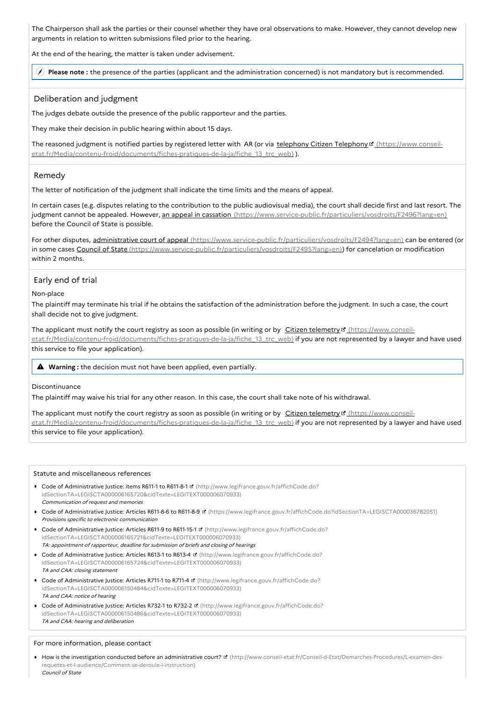The Chairperson shall ask the parties or their counsel whether they have oral observations to make. However, they cannot develop new arguments in relation to written submissions filed prior to the hearing.

At the end of the hearing, the matter is taken under advisement.

**Please note :** the presence of the parties (applicant and the administration concerned) is not mandatory but is recommended.

### Deliberation and judgment

The judges debate outside the presence of the public rapporteur and the parties.

They make their decision in public hearing within about 15 days.

The reasoned judgment is notified parties by registered letter with AR (or via telephony Citizen Telephony E (https://www.conseil[etat.fr/Media/contenu-froid/documents/fiches-pratiques-de-la-ja/fiche\\_13\\_trc\\_web\)](https://www.conseil-etat.fr/Media/contenu-froid/documents/fiches-pratiques-de-la-ja/fiche_13_trc_web) ).

### Remedy

The letter of notification of the judgment shall indicate the time limits and the means of appeal.

In certain cases (e.g. disputes relating to the contribution to the public audiovisual media), the court shall decide first and last resort. The judgment cannot be appealed. However, an appeal in cassation [\(https://www.service-public.fr/particuliers/vosdroits/F2496?lang=en\)](https://www.service-public.fr/particuliers/vosdroits/F2496?lang=en) before the Council of State is possible.

For other disputes, administrative court of appeal [\(https://www.service-public.fr/particuliers/vosdroits/F2494?lang=en\)](https://www.service-public.fr/particuliers/vosdroits/F2494?lang=en) can be entered (or in some cases Council of State [\(https://www.service-public.fr/particuliers/vosdroits/F2495?lang=en\)](https://www.service-public.fr/particuliers/vosdroits/F2495?lang=en)) for cancelation or modification within 2 months

## Early end of trial

#### Non-place

The plaintiff may terminate his trial if he obtains the satisfaction of the administration before the judgment. In such a case, the court shall decide not to give judgment.

The applicant must notify the court registry as soon as possible (in writing or by Citizen telemetry of (https://www.conseil[etat.fr/Media/contenu-froid/documents/fiches-pratiques-de-la-ja/fiche\\_13\\_trc\\_web\)](https://www.conseil-etat.fr/Media/contenu-froid/documents/fiches-pratiques-de-la-ja/fiche_13_trc_web) if you are not represented by a lawyer and have used this service to file your application).

**Warning :** the decision must not have been applied, even partially.

#### Discontinuance

The plaintiff may waive his trial for any other reason. In this case, the court shall take note of his withdrawal.

The applicant must notify the court registry as soon as possible (in writing or by Citizen telemetry of (https://www.conseil[etat.fr/Media/contenu-froid/documents/fiches-pratiques-de-la-ja/fiche\\_13\\_trc\\_web\)](https://www.conseil-etat.fr/Media/contenu-froid/documents/fiches-pratiques-de-la-ja/fiche_13_trc_web) if you are not represented by a lawyer and have used this service to file your application).

#### Statute and miscellaneous references

- Code of Administrative Justice: items R611-1 to R611-8-1 **¤** (http://www.legifrance.gouv.fr/affichCode.do? [idSectionTA=LEGISCTA000006165720&cidTexte=LEGITEXT000006070933\)](http://www.legifrance.gouv.fr/affichCode.do?idSectionTA=LEGISCTA000006165720&cidTexte=LEGITEXT000006070933) Communication of request and memories
- Code of Administrative Justice: Articles R611-8-6 to R611-8-9 ¤ [\(https://www.legifrance.gouv.fr/affichCode.do?idSectionTA=LEGISCTA000036782051\)](https://www.legifrance.gouv.fr/affichCode.do?idSectionTA=LEGISCTA000036782051) Provisions specific to electronic communication
- Code of Administrative Justice: Articles R611-9 to R611-15-1 **¤** (http://www.legifrance.gouv.fr/affichCode.do? [idSectionTA=LEGISCTA000006165721&cidTexte=LEGITEXT000006070933\)](http://www.legifrance.gouv.fr/affichCode.do?idSectionTA=LEGISCTA000006165721&cidTexte=LEGITEXT000006070933) TA: appointment of rapporteur, deadline for submission of briefs and closing of hearings
- Code of Administrative Justice: Articles R613-1 to R613-4 **d** (http://www.legifrance.gouv.fr/affichCode.do? [idSectionTA=LEGISCTA000006165724&cidTexte=LEGITEXT000006070933\)](http://www.legifrance.gouv.fr/affichCode.do?idSectionTA=LEGISCTA000006165724&cidTexte=LEGITEXT000006070933) TA and CAA: closing statement
- Code of Administrative Justice: Articles R711-1 to R711-4 **¤** (http://www.legifrance.gouv.fr/affichCode.do? [idSectionTA=LEGISCTA000006150484&cidTexte=LEGITEXT000006070933\)](http://www.legifrance.gouv.fr/affichCode.do?idSectionTA=LEGISCTA000006150484&cidTexte=LEGITEXT000006070933) TA and CAA: notice of hearing
- Code of Administrative Justice: Articles R732-1 to R732-2 **¤** (http://www.legifrance.gouv.fr/affichCode.do? [idSectionTA=LEGISCTA000006150486&cidTexte=LEGITEXT000006070933\)](http://www.legifrance.gouv.fr/affichCode.do?idSectionTA=LEGISCTA000006150486&cidTexte=LEGITEXT000006070933) TA and CAA: hearing and deliberation

#### For more information, please contact

■ How is the investigation conducted before an administrative court? ¤ [\(http://www.conseil-etat.fr/Conseil-d-Etat/Demarches-Procedures/L-examen-des](http://www.conseil-etat.fr/Conseil-d-Etat/Demarches-Procedures/L-examen-des-requetes-et-l-audience/Comment-se-deroule-l-instruction)requetes-et-l-audience/Comment-se-deroule-l-instruction) Council of State